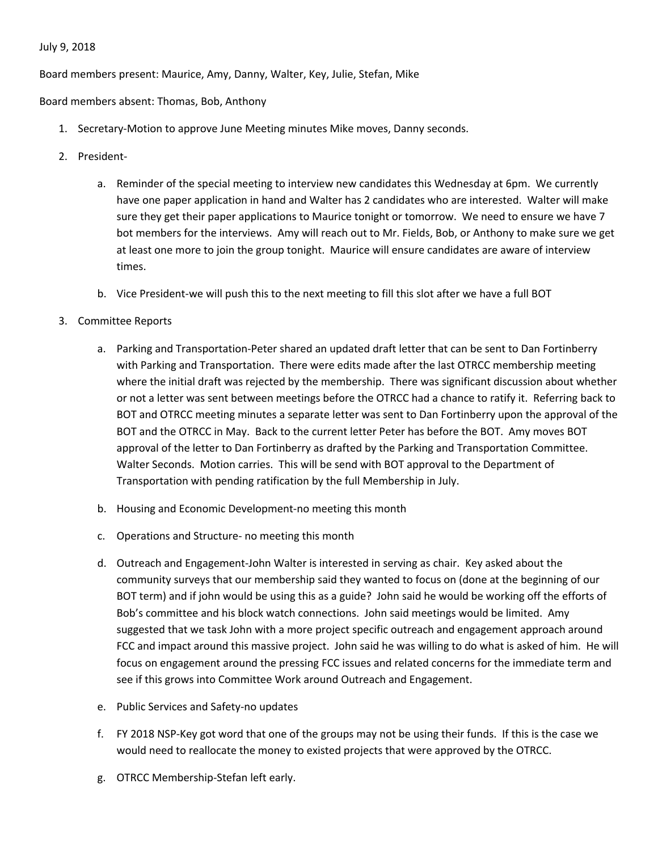## July 9, 2018

Board members present: Maurice, Amy, Danny, Walter, Key, Julie, Stefan, Mike

Board members absent: Thomas, Bob, Anthony

- 1. Secretary-Motion to approve June Meeting minutes Mike moves, Danny seconds.
- 2. President
	- a. Reminder of the special meeting to interview new candidates this Wednesday at 6pm. We currently have one paper application in hand and Walter has 2 candidates who are interested. Walter will make sure they get their paper applications to Maurice tonight or tomorrow. We need to ensure we have 7 bot members for the interviews. Amy will reach out to Mr. Fields, Bob, or Anthony to make sure we get at least one more to join the group tonight. Maurice will ensure candidates are aware of interview times.
	- b. Vice President-we will push this to the next meeting to fill this slot after we have a full BOT
- 3. Committee Reports
	- a. Parking and Transportation-Peter shared an updated draft letter that can be sent to Dan Fortinberry with Parking and Transportation. There were edits made after the last OTRCC membership meeting where the initial draft was rejected by the membership. There was significant discussion about whether or not a letter was sent between meetings before the OTRCC had a chance to ratify it. Referring back to BOT and OTRCC meeting minutes a separate letter was sent to Dan Fortinberry upon the approval of the BOT and the OTRCC in May. Back to the current letter Peter has before the BOT. Amy moves BOT approval of the letter to Dan Fortinberry as drafted by the Parking and Transportation Committee. Walter Seconds. Motion carries. This will be send with BOT approval to the Department of Transportation with pending ratification by the full Membership in July.
	- b. Housing and Economic Development-no meeting this month
	- c. Operations and Structure- no meeting this month
	- d. Outreach and Engagement-John Walter is interested in serving as chair. Key asked about the community surveys that our membership said they wanted to focus on (done at the beginning of our BOT term) and if john would be using this as a guide? John said he would be working off the efforts of Bob's committee and his block watch connections. John said meetings would be limited. Amy suggested that we task John with a more project specific outreach and engagement approach around FCC and impact around this massive project. John said he was willing to do what is asked of him. He will focus on engagement around the pressing FCC issues and related concerns for the immediate term and see if this grows into Committee Work around Outreach and Engagement.
	- e. Public Services and Safety-no updates
	- f. FY 2018 NSP-Key got word that one of the groups may not be using their funds. If this is the case we would need to reallocate the money to existed projects that were approved by the OTRCC.
	- g. OTRCC Membership-Stefan left early.